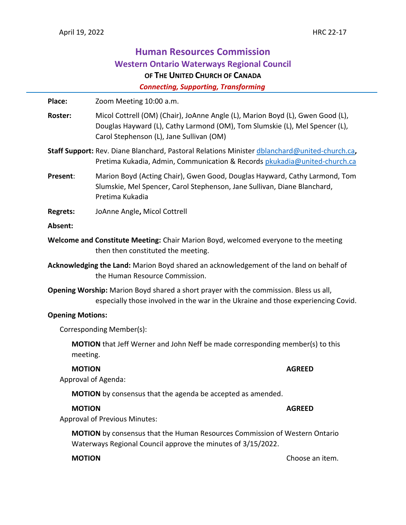# **Human Resources Commission Western Ontario Waterways Regional Council OF THE UNITED CHURCH OF CANADA**

 *Connecting, Supporting, Transforming*

Place: Zoom Meeting 10:00 a.m. **Roster:** Micol Cottrell (OM) (Chair), JoAnne Angle (L), Marion Boyd (L), Gwen Good (L), Douglas Hayward (L), Cathy Larmond (OM), Tom Slumskie (L), Mel Spencer (L), Carol Stephenson (L), Jane Sullivan (OM) **Staff Support:** Rev. Diane Blanchard, Pastoral Relations Minister [dblanchard@united-church.ca](mailto:dblanchard@united-church.ca)**,**  Pretima Kukadia, Admin, Communication & Records [pkukadia@united-church.ca](mailto:pkukadia@united-church.ca) **Present**: Marion Boyd (Acting Chair), Gwen Good, Douglas Hayward, Cathy Larmond, Tom Slumskie, Mel Spencer, Carol Stephenson, Jane Sullivan, Diane Blanchard, Pretima Kukadia **Regrets:** JoAnne Angle**,** Micol Cottrell **Absent: Welcome and Constitute Meeting:** Chair Marion Boyd, welcomed everyone to the meeting then then constituted the meeting. **Acknowledging the Land:** Marion Boyd shared an acknowledgement of the land on behalf of the Human Resource Commission. **Opening Worship:** Marion Boyd shared a short prayer with the commission. Bless us all, especially those involved in the war in the Ukraine and those experiencing Covid. **Opening Motions:** Corresponding Member(s): **MOTION** that Jeff Werner and John Neff be made corresponding member(s) to this meeting. **MOTION AGREED** Approval of Agenda: **MOTION** by consensus that the agenda be accepted as amended. **MOTION AGREED** Approval of Previous Minutes: **MOTION** by consensus that the Human Resources Commission of Western Ontario Waterways Regional Council approve the minutes of 3/15/2022.

**MOTION** Choose an item.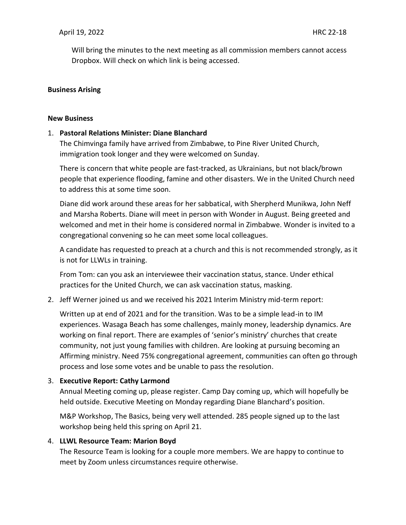Will bring the minutes to the next meeting as all commission members cannot access Dropbox. Will check on which link is being accessed.

# **Business Arising**

#### **New Business**

# 1. **Pastoral Relations Minister: Diane Blanchard**

The Chimvinga family have arrived from Zimbabwe, to Pine River United Church, immigration took longer and they were welcomed on Sunday.

There is concern that white people are fast-tracked, as Ukrainians, but not black/brown people that experience flooding, famine and other disasters. We in the United Church need to address this at some time soon.

Diane did work around these areas for her sabbatical, with Sherpherd Munikwa, John Neff and Marsha Roberts. Diane will meet in person with Wonder in August. Being greeted and welcomed and met in their home is considered normal in Zimbabwe. Wonder is invited to a congregational convening so he can meet some local colleagues.

A candidate has requested to preach at a church and this is not recommended strongly, as it is not for LLWLs in training.

From Tom: can you ask an interviewee their vaccination status, stance. Under ethical practices for the United Church, we can ask vaccination status, masking.

2. Jeff Werner joined us and we received his 2021 Interim Ministry mid-term report:

Written up at end of 2021 and for the transition. Was to be a simple lead-in to IM experiences. Wasaga Beach has some challenges, mainly money, leadership dynamics. Are working on final report. There are examples of 'senior's ministry' churches that create community, not just young families with children. Are looking at pursuing becoming an Affirming ministry. Need 75% congregational agreement, communities can often go through process and lose some votes and be unable to pass the resolution.

# 3. **Executive Report: Cathy Larmond**

Annual Meeting coming up, please register. Camp Day coming up, which will hopefully be held outside. Executive Meeting on Monday regarding Diane Blanchard's position.

M&P Workshop, The Basics, being very well attended. 285 people signed up to the last workshop being held this spring on April 21.

# 4. **LLWL Resource Team: Marion Boyd**

The Resource Team is looking for a couple more members. We are happy to continue to meet by Zoom unless circumstances require otherwise.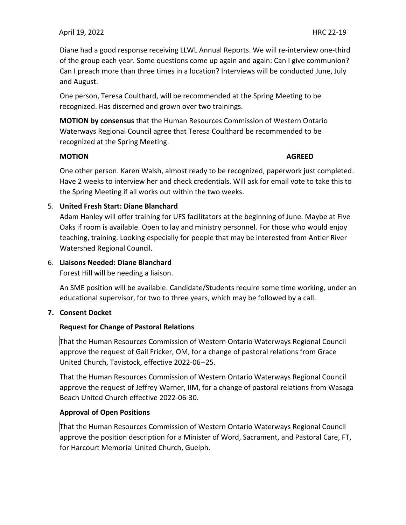Diane had a good response receiving LLWL Annual Reports. We will re-interview one-third of the group each year. Some questions come up again and again: Can I give communion? Can I preach more than three times in a location? Interviews will be conducted June, July and August.

One person, Teresa Coulthard, will be recommended at the Spring Meeting to be recognized. Has discerned and grown over two trainings.

**MOTION by consensus** that the Human Resources Commission of Western Ontario Waterways Regional Council agree that Teresa Coulthard be recommended to be recognized at the Spring Meeting.

#### **MOTION AGREED**

One other person. Karen Walsh, almost ready to be recognized, paperwork just completed. Have 2 weeks to interview her and check credentials. Will ask for email vote to take this to the Spring Meeting if all works out within the two weeks.

# 5. **United Fresh Start: Diane Blanchard**

Adam Hanley will offer training for UFS facilitators at the beginning of June. Maybe at Five Oaks if room is available. Open to lay and ministry personnel. For those who would enjoy teaching, training. Looking especially for people that may be interested from Antler River Watershed Regional Council.

# 6. **Liaisons Needed: Diane Blanchard**

Forest Hill will be needing a liaison.

An SME position will be available. Candidate/Students require some time working, under an educational supervisor, for two to three years, which may be followed by a call.

# **7. Consent Docket**

# **Request for Change of Pastoral Relations**

That the Human Resources Commission of Western Ontario Waterways Regional Council approve the request of Gail Fricker, OM, for a change of pastoral relations from Grace United Church, Tavistock, effective 2022-06--25.

That the Human Resources Commission of Western Ontario Waterways Regional Council approve the request of Jeffrey Warner, IIM, for a change of pastoral relations from Wasaga Beach United Church effective 2022-06-30.

# **Approval of Open Positions**

That the Human Resources Commission of Western Ontario Waterways Regional Council approve the position description for a Minister of Word, Sacrament, and Pastoral Care, FT, for Harcourt Memorial United Church, Guelph.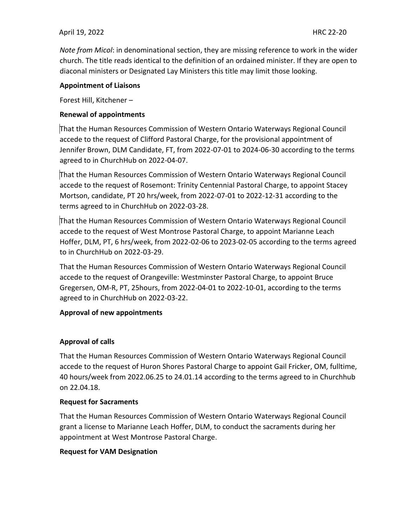# April 19, 2022HRC 22-20

*Note from Micol*: in denominational section, they are missing reference to work in the wider church. The title reads identical to the definition of an ordained minister. If they are open to diaconal ministers or Designated Lay Ministers this title may limit those looking.

# **Appointment of Liaisons**

Forest Hill, Kitchener –

# **Renewal of appointments**

That the Human Resources Commission of Western Ontario Waterways Regional Council accede to the request of Clifford Pastoral Charge, for the provisional appointment of Jennifer Brown, DLM Candidate, FT, from 2022-07-01 to 2024-06-30 according to the terms agreed to in ChurchHub on 2022-04-07.

That the Human Resources Commission of Western Ontario Waterways Regional Council accede to the request of Rosemont: Trinity Centennial Pastoral Charge, to appoint Stacey Mortson, candidate, PT 20 hrs/week, from 2022-07-01 to 2022-12-31 according to the terms agreed to in ChurchHub on 2022-03-28.

That the Human Resources Commission of Western Ontario Waterways Regional Council accede to the request of West Montrose Pastoral Charge, to appoint Marianne Leach Hoffer, DLM, PT, 6 hrs/week, from 2022-02-06 to 2023-02-05 according to the terms agreed to in ChurchHub on 2022-03-29.

That the Human Resources Commission of Western Ontario Waterways Regional Council accede to the request of Orangeville: Westminster Pastoral Charge, to appoint Bruce Gregersen, OM-R, PT, 25hours, from 2022-04-01 to 2022-10-01, according to the terms agreed to in ChurchHub on 2022-03-22.

# **Approval of new appointments**

# **Approval of calls**

That the Human Resources Commission of Western Ontario Waterways Regional Council accede to the request of Huron Shores Pastoral Charge to appoint Gail Fricker, OM, fulltime, 40 hours/week from 2022.06.25 to 24.01.14 according to the terms agreed to in Churchhub on 22.04.18.

# **Request for Sacraments**

That the Human Resources Commission of Western Ontario Waterways Regional Council grant a license to Marianne Leach Hoffer, DLM, to conduct the sacraments during her appointment at West Montrose Pastoral Charge.

# **Request for VAM Designation**